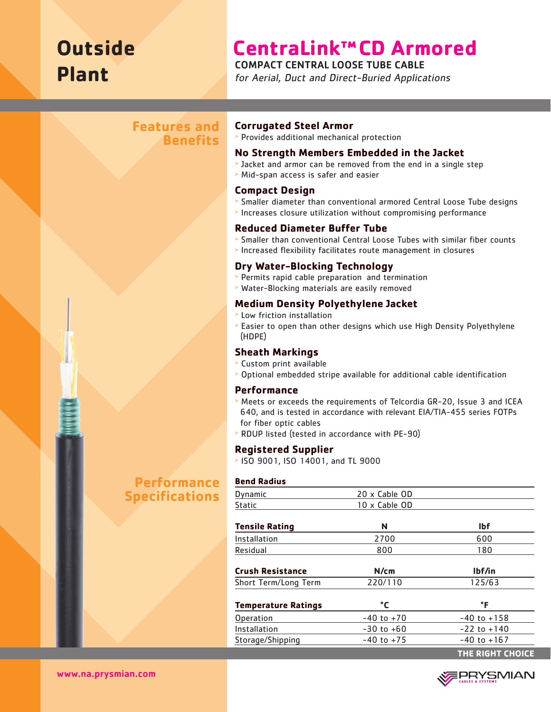# **Outside Plant**

# **CentraLink™CD Armored**

COMPACT CENTRAL LOOSE TUBE CABLE

for Aerial, Duct and Direct-Buried Applications

# **Features and Benefits**

# **Corrugated Steel Armor**

<sup>&</sup>gt; Provides additional mechanical protection

#### **No Strength Members Embedded in the Jacket**

- <sup>&</sup>gt; Jacket and armor can be removed from the end in a single step
- <sup>&</sup>gt; Mid-span access is safer and easier

#### **Compact Design**

- <sup>&</sup>gt; Smaller diameter than conventional armored Central Loose Tube designs
- <sup>&</sup>gt; Increases closure utilization without compromising performance

## **Reduced Diameter Buffer Tube**

- <sup>&</sup>gt; Smaller than conventional Central Loose Tubes with similar fiber counts
- <sup>&</sup>gt; Increased flexibility facilitates route management in closures

#### **Dry Water-Blocking Technology**

- <sup>&</sup>gt; Permits rapid cable preparation and termination
- <sup>&</sup>gt; Water-Blocking materials are easily removed

## **Medium Density Polyethylene Jacket**

- <sup>&</sup>gt; Low friction installation
- <sup>&</sup>gt; Easier to open than other designs which use High Density Polyethylene (HDPE)

## **Sheath Markings**

- <sup>&</sup>gt; Custom print available
- <sup>&</sup>gt; Optional embedded stripe available for additional cable identification

#### **Performance**

- <sup>&</sup>gt; Meets or exceeds the requirements of Telcordia GR-20, Issue 3 and ICEA 640, and is tested in accordance with relevant EIA/TIA-455 series FOTPs for fiber optic cables
- <sup>&</sup>gt; RDUP listed (tested in accordance with PE-90)

#### **Registered Supplier**

<sup>&</sup>gt; ISO 9001, ISO 14001, and TL 9000

#### **Bend Radius**

| Dynamic                    | 20 x Cable OD  |                         |  |  |  |
|----------------------------|----------------|-------------------------|--|--|--|
| Static                     | 10 x Cable OD  |                         |  |  |  |
| <b>Tensile Rating</b>      | N              | <b>Ibf</b>              |  |  |  |
| Installation               | 2700           | 600                     |  |  |  |
| Residual                   | 800<br>180     |                         |  |  |  |
| <b>Crush Resistance</b>    | N/cm           | lbf/in                  |  |  |  |
| Short Term/Long Term       | 220/110        | 125/63                  |  |  |  |
| <b>Temperature Ratings</b> | °C             | °F                      |  |  |  |
| Operation                  | $-40$ to $+70$ | $-40$ to $+158$         |  |  |  |
| Installation               | $-30$ to $+60$ | $-22$ to $+140$         |  |  |  |
| Storage/Shipping           | $-40$ to $+75$ | $-40$ to $+167$         |  |  |  |
|                            |                | <b>THE RIGHT CHOICE</b> |  |  |  |



www.na.prysmian.com

# **Performance Specifications**